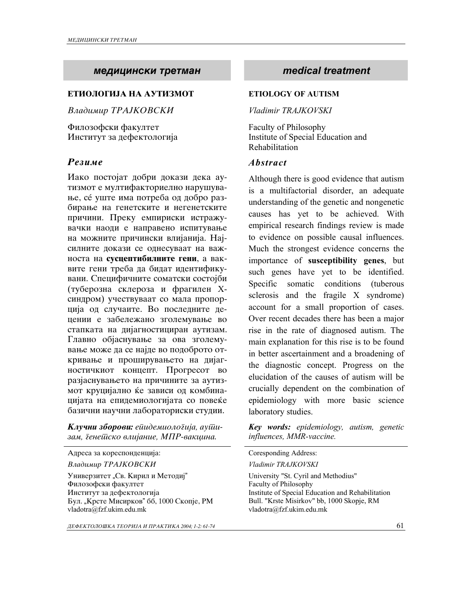# *medicinski tretman medical treatment*

### **ETIOLOGIJA NA AUTIZMOT**

**Владимир ТРАЈКОВСКИ** 

Филозофски факултет Институт за дефектологија

Иако постојат добри докази дека аутизмот е мултифакториелно нарушување, се уште има потреба од добро разбирање на генетските и негенетските причини. Преку емпириски истражувачки наоди е направено испитување на можните причински влијанија. Најсилните докази се однесуваат на важноста на **сусцептибилните гени**, а ваквите гени треба да бидат идентификувани. Специфичните соматски состојби (туберозна склероза и фрагилен Хсиндром) учествуваат со мала пропорција од случаите. Во последните децении е забележано зголемување во стапката на дијагностициран аутизам. Главно објаснување за ова зголемување може да се најде во подоброто откривање и проширувањето на дијагностичкиот концепт. Прогресот во разјаснувањето на причините за аутизмот круцијално ќе зависи од комбинацијата на епидемиологијата со повеќе базични научни лабораториски студии.

 $K$ лучни зборови: ейидемиологија, ауши $a$ ам, *денешско влијание*, *МПР-вакцина*.

Адреса за кореспонденција:

*Vladimir TRAJKOVSKI Vladimir TRAJKOVSKI* 

Универзитет "Св. Кирил и Методиј" Филозофски факултет Институт за дефектологија Бул. "Крсте Мисирков" бб, 1000 Скопје, РМ vladotra@fzf.ukim.edu.mk

*DEFEKTOLO[KA TEORIJA I PRAKTIKA 2004; 1-2: 61-74* 61

### **ETIOLOGY OF AUTISM**

*Vladimir TRAJKOVSKI*

Faculty of Philosophy Institute of Special Education and Rehabilitation

### *Rezime Abstract*

Although there is good evidence that autism is a multifactorial disorder, an adequate understanding of the genetic and nongenetic causes has yet to be achieved. With empirical research findings review is made to evidence on possible causal influences. Much the strongest evidence concerns the importance of **susceptibility genes**, but such genes have yet to be identified. Specific somatic conditions (tuberous sclerosis and the fragile X syndrome) account for a small proportion of cases. Over recent decades there has been a major rise in the rate of diagnosed autism. The main explanation for this rise is to be found in better ascertainment and a broadening of the diagnostic concept. Progress on the elucidation of the causes of autism will be crucially dependent on the combination of epidemiology with more basic science laboratory studies.

*Key words: epidemiology, autism, genetic influences, MMR-vaccine.* 

| Coresponding Address: |
|-----------------------|
|-----------------------|

University "St. Cyril and Methodius" Faculty of Philosophy Institute of Special Education and Rehabilitation Bull. "Krste Misirkov" bb, 1000 Skopje, RM vladotra@fzf.ukim.edu.mk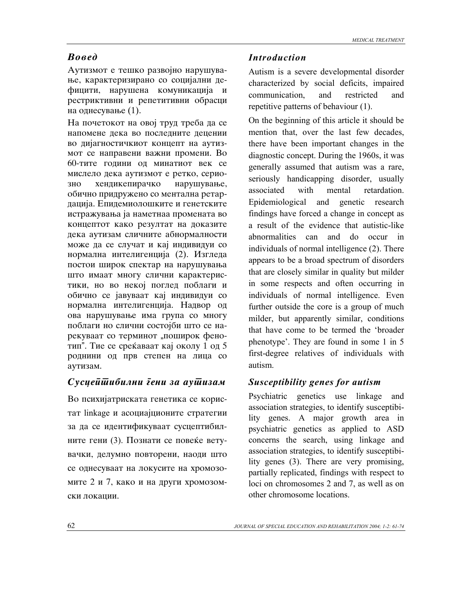Аутизмот е тешко развојно нарушување, карактеризирано со социјални дефицити, нарушена комуникација и рестриктивни и репетитивни обрасци на однесување (1).

На почетокот на овој труд треба да се напомене дека во последните децении во дијагностичкиот концепт на аутизмот се направени важни промени. Во 60-тите години од минатиот век се мислело дека аутизмот е ретко, сериозно хендикепирачко нарушување, обично придружено со ментална ретардација. Епидемиолошките и генетските истражувања ја наметнаа промената во концептот како резултат на доказите дека аутизам сличните абнормалности може да се случат и кај индивидуи со нормална интелигенција (2). Изгледа постои широк спектар на нарушувања што имаат многу слични карактеристики, но во некој поглед поблаги и обично се јавуваат кај индивидуи со нормална интелигенција. Надвор од ова нарушување има група со многу поблаги но слични состојби што се нарекуваат со терминот "поширок фенотип". Tue се среќаваат кај околу 1 од 5 роднини од прв степен на лица со аутизам.

### *Susceptibilni geni za autizam Susceptibility genes for autism*

Во психијатриската генетика се користат linkage и асоциајционите стратегии за да се идентификуваат сусцептибилните гени (3). Познати се повеќе ветувачки, делумно повторени, наоди што се однесуваат на локусите на хромозомите 2 и 7, како и на други хромозомски локации.

### *Rosed <i>Introduction*

Autism is a severe developmental disorder characterized by social deficits, impaired communication, and restricted and repetitive patterns of behaviour (1).

On the beginning of this article it should be mention that, over the last few decades, there have been important changes in the diagnostic concept. During the 1960s, it was generally assumed that autism was a rare, seriously handicapping disorder, usually associated with mental retardation. Epidemiological and genetic research findings have forced a change in concept as a result of the evidence that autistic-like abnormalities can and do occur in individuals of normal intelligence (2). There appears to be a broad spectrum of disorders that are closely similar in quality but milder in some respects and often occurring in individuals of normal intelligence. Even further outside the core is a group of much milder, but apparently similar, conditions that have come to be termed the 'broader phenotype'. They are found in some 1 in 5 first-degree relatives of individuals with autism.

Psychiatric genetics use linkage and association strategies, to identify susceptibility genes. A major growth area in psychiatric genetics as applied to ASD concerns the search, using linkage and association strategies, to identify susceptibility genes (3). There are very promising, partially replicated, findings with respect to loci on chromosomes 2 and 7, as well as on other chromosome locations.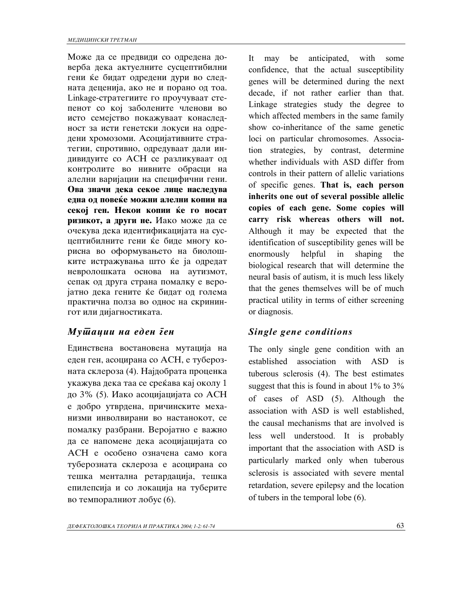Може да се предвиди со одредена доверба дека актуелните сусцептибилни гени ќе бидат одредени дури во следната деценија, ако не и порано од тоа. Linkage-стратегиите го проучуваат степенот со кој заболените членови во исто семејство покажуваат конаследност за исти генетски локуси на одредени хромозоми. Асоцијативните стратегии, спротивно, одредуваат дали индивидуите со АСН се разликуваат од контролите во нивните обрасци на алелни варијации на специфични гени. Ова значи дека секое лице наследува една од повеќе можни алелни копии на секој ген. Некои копии ќе го носат **ризикот, а други не.** Иако може да се очекува дека идентификацијата на сусцептибилните гени ќе биде многу корисна во оформувањето на биолошките истражувања што ќе ја одредат невролошката основа на аутизмот, сепак од друга страна помалку е веројатно дека гените ќе бидат од голема практична полза во однос на скринингот или дијагностиката.

### *Mutacii na eden gen Single gene conditions*

Единствена востановена мутација на еден ген, асоцирана со АСН, е туберозната склероза (4). Најдобрата проценка укажува дека таа се среќава кај околу  $1$ до 3% (5). Иако асоцијацијата со АСН e добро утврдена, причинските механизми инволвирани во настанокот, се помалку разбрани. Веројатно е важно да се напомене дека асоцијацијата со АСН е особено означена само кога туберозната склероза е асоцирана со тешка ментална ретардација, тешка епилепсија и со локација на туберите во темпоралниот лобус (6).

It may be anticipated, with some confidence, that the actual susceptibility genes will be determined during the next decade, if not rather earlier than that. Linkage strategies study the degree to which affected members in the same family show co-inheritance of the same genetic loci on particular chromosomes. Association strategies, by contrast, determine whether individuals with ASD differ from controls in their pattern of allelic variations of specific genes. **That is, each person inherits one out of several possible allelic copies of each gene. Some copies will carry risk whereas others will not.** Although it may be expected that the identification of susceptibility genes will be enormously helpful in shaping the biological research that will determine the neural basis of autism, it is much less likely that the genes themselves will be of much practical utility in terms of either screening or diagnosis.

The only single gene condition with an established association with ASD is tuberous sclerosis (4). The best estimates suggest that this is found in about 1% to 3% of cases of ASD (5). Although the association with ASD is well established, the causal mechanisms that are involved is less well understood. It is probably important that the association with ASD is particularly marked only when tuberous sclerosis is associated with severe mental retardation, severe epilepsy and the location of tubers in the temporal lobe (6).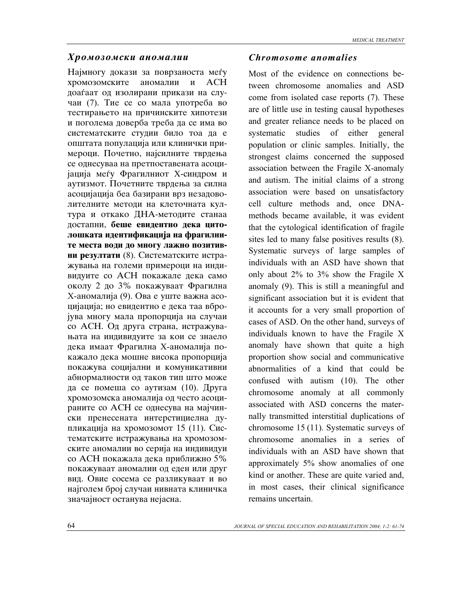### *Hromozomski anomalii Chromosome anomalies*

Најмногу докази за поврзаноста меѓу хромозомските аномалии и АСН доаѓаат од изолирани прикази на случаи (7). Тие се со мала употреба во тестирањето на причинските хипотези и поголема доверба треба да се има во систематските студии било тоа да е општата популација или клинички примероци. Почетно, најсилните тврдења се однесуваа на претпоставената асоцијација меѓу Фрагилниот Х-синдром и аутизмот. Почетните тврдења за силна асоцијација беа базирани врз незадоволителните методи на клеточната култура и откако ДНА-методите станаа достапни, беше евидентно дека цитолошката идентификација на фрагилните места води до многу лажно позитив**ни резултати** (8). Систематските истражувања на големи примероци на индивидуите со АСН покажале дека само околу 2 до 3% покажуваат Фрагилна X-аномалија (9). Ова е уште важна асоцијација; но евидентно е дека таа вбројува многу мала пропорција на случаи со АСН. Од друга страна, истражувањата на индивидуите за кои се знаело дека имаат Фрагилна Х-аномалија покажало дека мошне висока пропорција покажува социјални и комуникативни абнормалности од таков тип што може да се помеша со аутизам  $(10)$ . Друга хромозомска аномалија од често асоцираните со АСН се однесува на мајчински пренесената интерстициелна дупликација на хромозомот 15 (11). Систематските истражувања на хромозомските аномалии во серија на индивидуи со АСН покажала дека приближно 5% покажуваат аномалии од еден или друг вид. Овие сосема се разликуваат и во најголем број случаи нивната клиничка значајност останува нејасна.

Most of the evidence on connections between chromosome anomalies and ASD come from isolated case reports (7). These are of little use in testing causal hypotheses and greater reliance needs to be placed on systematic studies of either general population or clinic samples. Initially, the strongest claims concerned the supposed association between the Fragile X-anomaly and autism. The initial claims of a strong association were based on unsatisfactory cell culture methods and, once DNAmethods became available, it was evident that the cytological identification of fragile sites led to many false positives results (8). Systematic surveys of large samples of individuals with an ASD have shown that only about 2% to 3% show the Fragile X anomaly (9). This is still a meaningful and significant association but it is evident that it accounts for a very small proportion of cases of ASD. On the other hand, surveys of individuals known to have the Fragile X anomaly have shown that quite a high proportion show social and communicative abnormalities of a kind that could be confused with autism (10). The other chromosome anomaly at all commonly associated with ASD concerns the maternally transmitted interstitial duplications of chromosome 15 (11). Systematic surveys of chromosome anomalies in a series of individuals with an ASD have shown that approximately 5% show anomalies of one kind or another. These are quite varied and, in most cases, their clinical significance remains uncertain.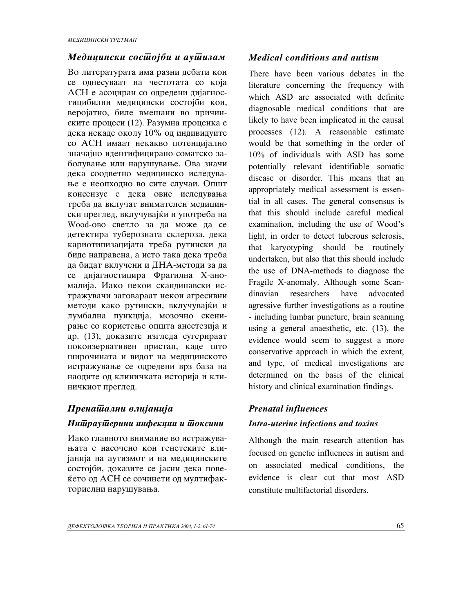### *Medicinski sostojbi i autizam Medical conditions and autism*

Во литературата има разни дебати кои се однесуваат на честотата со која АСН е асоциран со одредени дијагностицибилни медицински состојби кои, веројатно, биле вмешани во причинските процеси (12). Разумна проценка е дека некаде околу 10% од индивидуите со АСН имаат некакво потенцијално значајно идентифицирано соматско заболување или нарушување. Ова значи дека соодветно медицинско иследување е неопходно во сите случаи. Општ консензус е дека овие иследувања треба да вклучат внимателен медицински преглед, вклучувајќи и употреба на Wood-ово светло за да може да се детектира туберозната склероза, дека кариотипизацијата треба рутински да биде направена, а исто така дека треба да бидат вклучени и ДНА-методи за да се дијагностицира Фрагилна Х-аномалија. Иако некои скандинавски истражувачи заговараат некои агресивни методи како рутински, вклучувајќи и лумбална пункција, мозочно скенирање со користење општа анестезија и др. (13), доказите изгледа сугерираат поконзервативен пристап, каде што широчината и видот на медицинското истражување се одредени врз база на наодите од клиничката историја и клиничкиот преглед.

# *Prenatalni vlijanija Prenatal influences*

Иако главното внимание во истражувањата е насочено кон генетските влијанија на аутизмот и на медицинските состојби, доказите се јасни дека повеќето од АСН се сочинети од мултифакториелни нарушувања.

There have been various debates in the literature concerning the frequency with which ASD are associated with definite diagnosable medical conditions that are likely to have been implicated in the causal processes (12). A reasonable estimate would be that something in the order of 10% of individuals with ASD has some potentially relevant identifiable somatic disease or disorder. This means that an appropriately medical assessment is essential in all cases. The general consensus is that this should include careful medical examination, including the use of Wood's light, in order to detect tuberous sclerosis, that karyotyping should be routinely undertaken, but also that this should include the use of DNA-methods to diagnose the Fragile X-anomaly. Although some Scandinavian researchers have advocated agressive further investigations as a routine - including lumbar puncture, brain scanning using a general anaesthetic, etc. (13), the evidence would seem to suggest a more conservative approach in which the extent, and type, of medical investigations are determined on the basis of the clinical history and clinical examination findings.

### *Intrauterini infekcii i toksini Intra-uterine infections and toxins*

Although the main research attention has focused on genetic influences in autism and on associated medical conditions, the evidence is clear cut that most ASD constitute multifactorial disorders.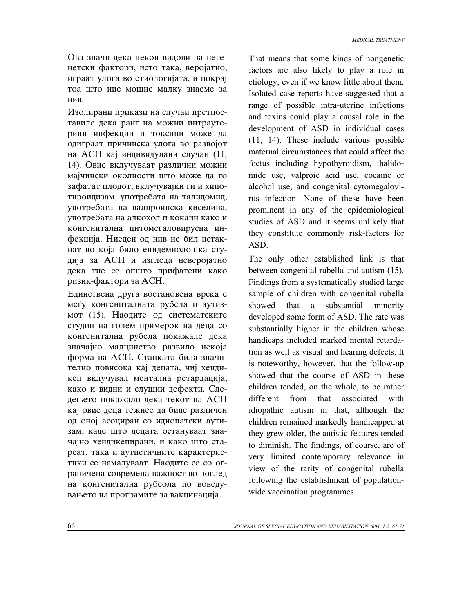Ова значи дека некои видови на негенетски фактори, исто така, веројатно, играат улога во етиологијата, и покрај тоа што ние мошне малку знаеме за нив.

Изолирани прикази на случаи претпоставиле дека ранг на можни интраутерини инфекции и токсини може да одиграат причинска улога во развојот на АСН кај индивидулани случаи (11, 14). Овие вклучуваат различни можни мајчински околности што може да го зафатат плодот, вклучувајќи ги и хипотироидизам, употребата на талидомид, употребата на валпроинска киселина, употребата на алкохол и кокаин како и конгенитална цитомегаловирусна инфекција. Ниеден од нив не бил истакнат во која било епидемиолошка студија за АСН и изгледа неверојатно дека тие се општо прифатени како ризик-фактори за АСН.

Единствена друга востановена врска е меѓу конгениталната рубела и аутизмот (15). Наодите од систематските студии на голем примерок на деца со конгенитална рубела покажале дека значајно малцинство развило некоја форма на АСН. Стапката била значително повисока кај децата, чиј хендикеп вклучувал ментална ретардација, како и видни и слушни дефекти. Следењето покажало дека текот на АСН кај овие деца тежнее да биде различен од оној асоциран со идиопатски аутизам, каде што децата остануваат значајно хендикепирани, и како што стареат, така и аутистичните карактеристики се намалуваат. Наодите се со ограничена современа важност во поглед на конгенитална рубеола по воведувањето на програмите за вакцинација.

That means that some kinds of nongenetic factors are also likely to play a role in etiology, even if we know little about them. Isolated case reports have suggested that a range of possible intra-uterine infections and toxins could play a causal role in the development of ASD in individual cases (11, 14). These include various possible maternal circumstances that could affect the foetus including hypothyroidism, thalidomide use, valproic acid use, cocaine or alcohol use, and congenital cytomegalovirus infection. None of these have been prominent in any of the epidemiological studies of ASD and it seems unlikely that they constitute commonly risk-factors for ASD.

The only other established link is that between congenital rubella and autism (15). Findings from a systematically studied large sample of children with congenital rubella showed that a substantial minority developed some form of ASD. The rate was substantially higher in the children whose handicaps included marked mental retardation as well as visual and hearing defects. It is noteworthy, however, that the follow-up showed that the course of ASD in these children tended, on the whole, to be rather different from that associated with idiopathic autism in that, although the children remained markedly handicapped at they grew older, the autistic features tended to diminish. The findings, of course, are of very limited contemporary relevance in view of the rarity of congenital rubella following the establishment of populationwide vaccination programmes.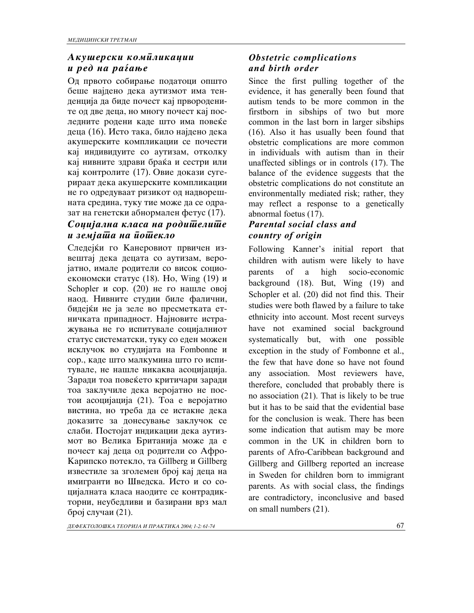# $A$ *k* ушерски комиликации *u* ред на раѓање

Од првото собирање податоци општо беше најдено дека аутизмот има тенденција да биде почест кај првородените од две деца, но многу почест кај последните родени каде што има повеќе деца (16). Исто така, било најдено дека акушерските компликации се почести кај индивидуите со аутизам, отколку кај нивните здрави браќа и сестри или кај контролите (17). Овие докази сугерираат дека акушерските компликации не го одредуваат ризикот од надворешната средина, туку тие може да се одразат на генетски абнормален фетус (17).

# Couujaлна класа на родишелише *и земјаша на иошекло*

Следејќи го Канеровиот првичен извештај дека децата со аутизам, веројатно, имале родители со висок социоекономски статус (18). Но, Wing  $(19)$  и Schopler  $\mu$  cop. (20) не го нашле овој наод. Нивните студии биле фалични, бидејќи не ја зеле во пресметката етничката припадност. Најновите истражувања не го испитувале социјалниот статус систематски, туку со еден можен исклучок во студијата на Fombonne и сор., каде што малкумина што го испитувале, не нашле никаква асоцијација. Заради тоа повеќето критичари заради тоа заклучиле дека веројатно не постои асоцијација (21). Тоа е веројатно вистина, но треба да се истакне дека доказите за донесување заклучок се слаби. Постојат индикации дека аутизмот во Велика Британија може да е почест кај деца од родители со Афро-Карипско потекло, та Gillberg и Gillberg известиле за зголемен број кај деца на имигранти во Шведска. Исто и со социјалната класа наодите се контрадикторни, неубедливи и базирани врз мал број случаи  $(21)$ .

### *Obstetric complications and birth order*

Since the first pulling together of the evidence, it has generally been found that autism tends to be more common in the firstborn in sibships of two but more common in the last born in larger sibships (16). Also it has usually been found that obstetric complications are more common in individuals with autism than in their unaffected siblings or in controls (17). The balance of the evidence suggests that the obstetric complications do not constitute an environmentally mediated risk; rather, they may reflect a response to a genetically abnormal foetus (17).

# *Parental social class and country of origin*

Following Kanner's initial report that children with autism were likely to have parents of a high socio-economic background (18). But, Wing (19) and Schopler et al. (20) did not find this. Their studies were both flawed by a failure to take ethnicity into account. Most recent surveys have not examined social background systematically but, with one possible exception in the study of Fombonne et al., the few that have done so have not found any association. Most reviewers have, therefore, concluded that probably there is no association (21). That is likely to be true but it has to be said that the evidential base for the conclusion is weak. There has been some indication that autism may be more common in the UK in children born to parents of Afro-Caribbean background and Gillberg and Gillberg reported an increase in Sweden for children born to immigrant parents. As with social class, the findings are contradictory, inconclusive and based on small numbers (21).

*DEFEKTOLO[KA TEORIJA I PRAKTIKA 2004; 1-2: 61-74* 67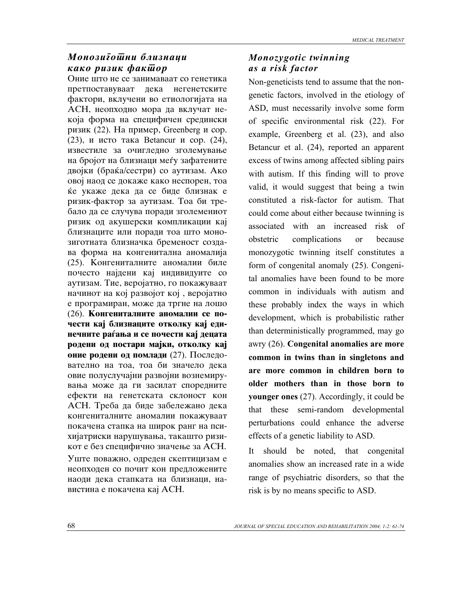### *Monozuīoшни близнаци*  $k$ *kako puzuk*  $\phi$ *akulop*

Оние што не се занимаваат со генетика претпоставуваат дека негенетските фактори, вклучени во етиологијата на АСН, неопходно мора да вклучат некоја форма на специфичен средински ризик (22). На пример, Greenberg и сор. (23), и исто така Betancur и сор.  $(24)$ , известиле за очигледно зголемување на бројот на близнаци меѓу зафатените двојки (браќа/сестри) со аутизам. Ако овој наод се докаже како неспорен, тоа ќе укаже дека да се биде близнак е ризик-фактор за аутизам. Тоа би требало да се случува поради зголемениот ризик од акушерски компликации кај близнаците или поради тоа што монозиготната близначка бременост создава форма на конгенитална аномалија (25). Конгениталните аномалии биле почесто најдени кај индивидуите со ayтизам. Тие, веројатно, го покажуваат начинот на кој развојот кој, веројатно e програмиран, може да тргне на лошо (26). **Конгениталните аномалии се по**чести кај близнаците отколку кај единечните раѓања и се почести кај децата родени од постари мајки, отколку кај **оние родени од помлади** (27). Последователно на тоа, тоа би значело дека овие полуслучајни развојни вознемирувања може да ги засилат споредните ефекти на генетската склоност кон АСН. Треба да биде забележано дека конгениталните аномалии покажуваат покачена стапка на широк ранг на психијатриски нарушувања, такашто ризикот е без специфично значење за АСН. Уште поважно, одреден скептицизам е неопходен со почит кон предложените наоди дека стапката на близнаци, навистина е покачена кај АСН.

### *Monozygotic twinning as a risk factor*

Non-geneticists tend to assume that the nongenetic factors, involved in the etiology of ASD, must necessarily involve some form of specific environmental risk (22). For example, Greenberg et al. (23), and also Betancur et al. (24), reported an apparent excess of twins among affected sibling pairs with autism. If this finding will to prove valid, it would suggest that being a twin constituted a risk-factor for autism. That could come about either because twinning is associated with an increased risk of obstetric complications or because monozygotic twinning itself constitutes a form of congenital anomaly (25). Congenital anomalies have been found to be more common in individuals with autism and these probably index the ways in which development, which is probabilistic rather than deterministically programmed, may go awry (26). **Congenital anomalies are more common in twins than in singletons and are more common in children born to older mothers than in those born to younger ones** (27). Accordingly, it could be that these semi-random developmental perturbations could enhance the adverse effects of a genetic liability to ASD.

It should be noted, that congenital anomalies show an increased rate in a wide range of psychiatric disorders, so that the risk is by no means specific to ASD.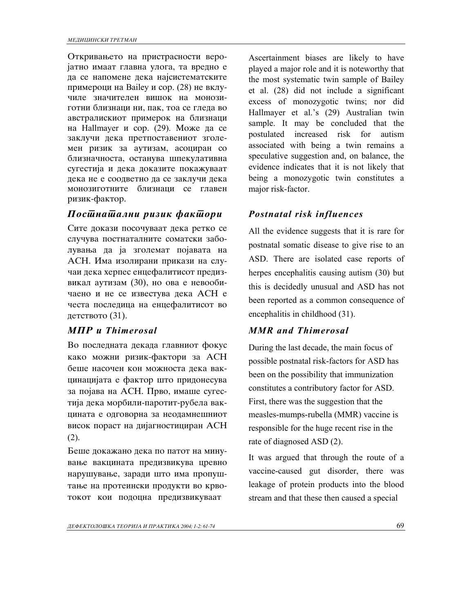Откривањето на пристрасности веројатно имаат главна улога, та вредно е да се напомене дека најсистематските примероци на Bailey и сор. (28) не вклучиле значителен вишок на монозиготни близнаци ни, пак, тоа се глепа во австралискиот примерок на близнаци на Hallmayer и сор.  $(29)$ . Може да се заклучи дека претпоставениот зголемен ризик за аутизам, асоциран со близначноста, останува шпекулативна сугестија и дека доказите покажуваат дека не е соодветно да се заклучи дека монозиготните близнаци се главен ризик-фактор.

# *Postnatalni rizik faktori Postnatal risk influences*

Сите докази посочуваат дека ретко се случува постнаталните соматски заболувања да ја зголемат појавата на АСН. Има изолирани прикази на случаи дека херпес енцефалитисот предизвикал аутизам (30), но ова е невообичаено и не се известува дека АСН е честа последица на енцефалитисот во детството  $(31)$ .

Во последната декада главниот фокус како можни ризик-фактори за АСН беше насочен кон можноста дека вакцинацијата е фактор што придонесува за појава на АСН. Прво, имаше сугестија дека морбили-паротит-рубела вакцината е одговорна за неодамнешниот висок пораст на дијагностициран АСН  $(2).$ 

Беше докажано дека по патот на минување вакцината предизвикува цревно нарушување, заради што има пропуштање на протеински продукти во крвотокот кои подоцна предизвикуваат

Ascertainment biases are likely to have played a major role and it is noteworthy that the most systematic twin sample of Bailey et al. (28) did not include a significant excess of monozygotic twins; nor did Hallmayer et al.'s (29) Australian twin sample. It may be concluded that the postulated increased risk for autism associated with being a twin remains a speculative suggestion and, on balance, the evidence indicates that it is not likely that being a monozygotic twin constitutes a major risk-factor.

All the evidence suggests that it is rare for postnatal somatic disease to give rise to an ASD. There are isolated case reports of herpes encephalitis causing autism (30) but this is decidedly unusual and ASD has not been reported as a common consequence of encephalitis in childhood (31).

# *MPR i Thimerosal MMR and Thimerosal*

During the last decade, the main focus of possible postnatal risk-factors for ASD has been on the possibility that immunization constitutes a contributory factor for ASD. First, there was the suggestion that the measles-mumps-rubella (MMR) vaccine is responsible for the huge recent rise in the rate of diagnosed ASD (2).

It was argued that through the route of a vaccine-caused gut disorder, there was leakage of protein products into the blood stream and that these then caused a special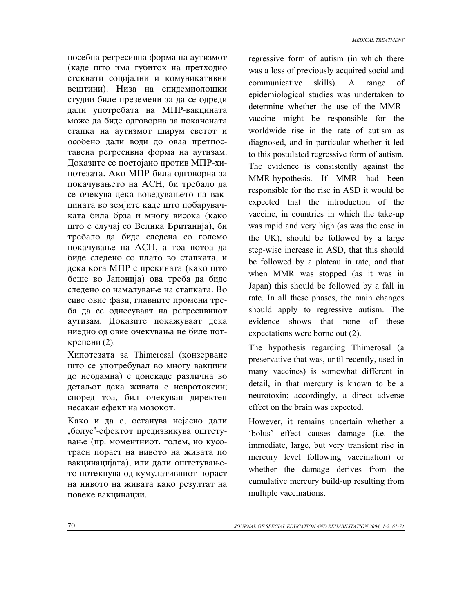посебна регресивна форма на аутизмот (каде што има губиток на претходно стекнати социјални и комуникативни вештини). Низа на епидемиолошки студии биле преземени за да се одреди дали употребата на МПР-вакцината може да биде одговорна за покачената стапка на аутизмот ширум светот и особено дали води до оваа претпоставена регресивна форма на аутизам. Доказите се постојано против МПР-хипотезата. Ако МПР била одговорна за покачувањето на АСН, би требало да

се очекува дека воведувањето на вакцината во земјите каде што побарувачката била брза и многу висока (како што е случај со Велика Британија), би требало да биде следена со големо покачување на АСН, а тоа потоа да биде следено со плато во стапката, и дека кога МПР е прекината (како што беше во Јапонија) ова треба да биде следено со намалување на стапката. Во сиве овие фази, главните промени треба да се однесуваат на регресивниот аутизам. Доказите покажуваат дека ниедно од овие очекувања не биле поткрепени $(2)$ .

Хипотезата за Thimerosal (конзерванс што се употребувал во многу вакцини до неодамна) е донекаде различна во детаљот дека живата е невротоксин; според тоа, бил очекуван директен несакан ефект на мозокот.

Како и да е, останува нејасно дали "болус"-ефектот предизвикува оштетување (пр. моментниот, голем, но кусотраен пораст на нивото на живата по вакцинацијата), или дали оштетувањето потекнува од кумулативниот пораст на нивото на живата како резултат на повеке вакцинации.

regressive form of autism (in which there was a loss of previously acquired social and communicative skills). A range of epidemiological studies was undertaken to determine whether the use of the MMRvaccine might be responsible for the worldwide rise in the rate of autism as diagnosed, and in particular whether it led to this postulated regressive form of autism. The evidence is consistently against the MMR-hypothesis. If MMR had been responsible for the rise in ASD it would be expected that the introduction of the vaccine, in countries in which the take-up was rapid and very high (as was the case in the UK), should be followed by a large step-wise increase in ASD, that this should be followed by a plateau in rate, and that when MMR was stopped (as it was in Japan) this should be followed by a fall in rate. In all these phases, the main changes should apply to regressive autism. The evidence shows that none of these expectations were borne out (2).

The hypothesis regarding Thimerosal (a preservative that was, until recently, used in many vaccines) is somewhat different in detail, in that mercury is known to be a neurotoxin; accordingly, a direct adverse effect on the brain was expected.

However, it remains uncertain whether a 'bolus' effect causes damage (i.e. the immediate, large, but very transient rise in mercury level following vaccination) or whether the damage derives from the cumulative mercury build-up resulting from multiple vaccinations.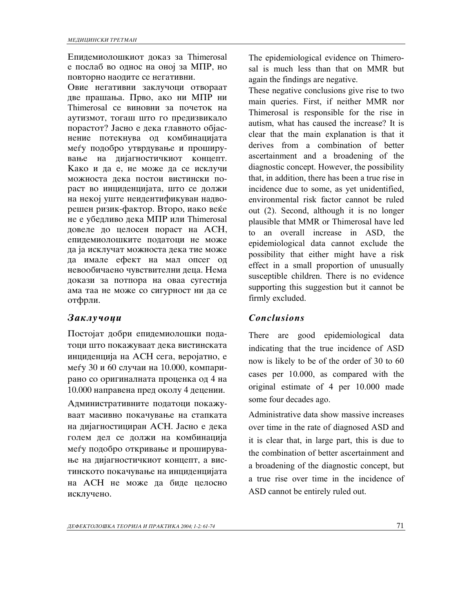Епидемиолошкиот доказ за Thimerosal е послаб во однос на оној за МПР, но повторно наодите се негативни.

Овие негативни заклучоци отвораат две прашања. Прво, ако ни МПР ни Thimerosal се виновни за почеток на аутизмот, тогаш што го предизвикало порастот? Јасно е дека главното објаснение потекнува од комбинацијата меѓу подобро утврдување и проширување на дијагностичкиот концепт. Како и да е, не може да се исклучи можноста дека постои вистински пораст во инциденцијата, што се должи на некој уште неидентификуван надворешен ризик-фактор. Второ, иако веќе не е убедливо дека МПР или Thimerosal довеле до целосен пораст на АСН, епидемиолошките податоци не може да ја исклучат можноста дека тие може да имале ефект на мал опсег од невообичаено чувствителни деца. Нема докази за потпора на оваа сугестија ама таа не може со сигурност ни да се отфрли.

Постојат добри епидемиолошки податоци што покажуваат дека вистинската инциденција на АСН сега, веројатно, е меѓу 30 и 60 случаи на 10.000, компарирано со оригиналната проценка од 4 на 10.000 направена пред околу 4 децении.

Административните податоци покажуваат масивно покачување на стапката на дијагностициран АСН. Јасно е дека голем дел се должи на комбинација меѓу подобро откривање и проширување на дијагностичкиот концепт, а вистинското покачување на инциденцијата на АСН не може да биде целосно исклучено.

The epidemiological evidence on Thimerosal is much less than that on MMR but again the findings are negative.

These negative conclusions give rise to two main queries. First, if neither MMR nor Thimerosal is responsible for the rise in autism, what has caused the increase? It is clear that the main explanation is that it derives from a combination of better ascertainment and a broadening of the diagnostic concept. However, the possibility that, in addition, there has been a true rise in incidence due to some, as yet unidentified, environmental risk factor cannot be ruled out (2). Second, although it is no longer plausible that MMR or Thimerosal have led to an overall increase in ASD, the epidemiological data cannot exclude the possibility that either might have a risk effect in a small proportion of unusually susceptible children. There is no evidence supporting this suggestion but it cannot be firmly excluded.

### *Zaklu~oci Conclusions*

There are good epidemiological data indicating that the true incidence of ASD now is likely to be of the order of 30 to 60 cases per 10.000, as compared with the original estimate of 4 per 10.000 made some four decades ago.

Administrative data show massive increases over time in the rate of diagnosed ASD and it is clear that, in large part, this is due to the combination of better ascertainment and a broadening of the diagnostic concept, but a true rise over time in the incidence of ASD cannot be entirely ruled out.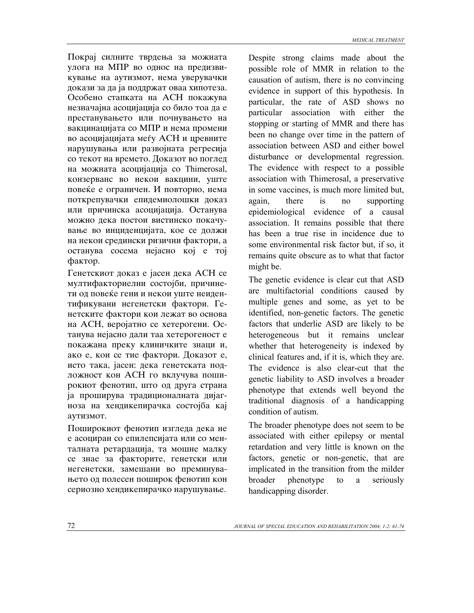Покрај силните тврдења за можната улога на МПР во однос на предизвикување на аутизмот, нема уверувачки докази за да ја поддржат оваа хипотеза. Особено стапката на АСН покажува незначајна асоцијација со било тоа да е престанувањето или почнувањето на вакцинацијата со МПР и нема промени во асоцијацијата меѓу АСН и цревните нарушувања или развојната регресија со текот на времето. Доказот во поглед на можната асоцијација со Thimerosal, конзерванс во некои вакцини, уште повеќе е ограничен. И повторно, нема поткрепувачки епидемиолошки доказ или причинска асоцијација. Останува можно дека постои вистинско покачување во инциденцијата, кое се должи на некои средински ризични фактори, а ocтанува сосема нејасно кој е тој фактор.

Генетскиот доказ е јасен дека АСН се мултифакториелни состојби, причинети од повеќе гени и некои уште неидентификувани негенетски фактори. Генетските фактори кои лежат во основа на АСН, веројатно се хетерогени. Останува нејасно дали таа хетерогеност е покажана преку клиничките знаци и, ако е, кои се тие фактори. Доказот е, исто така, јасен: дека генетската подложност кон АСН го вклучува поширокиот фенотип, што од друга страна ја проширува традиционалната дијагноза на хендикепирачка состојба кај avтизмот.

Поширокиот фенотип изгледа дека не е асоциран со епилепсијата или со менталната ретардација, та мошне малку се знае за факторите, генетски или негенетски, замешани во преминувањето од полесен поширок фенотип кон сериозно хендикепирачко нарушување.

Despite strong claims made about the possible role of MMR in relation to the causation of autism, there is no convincing evidence in support of this hypothesis. In particular, the rate of ASD shows no particular association with either the stopping or starting of MMR and there has been no change over time in the pattern of association between ASD and either bowel disturbance or developmental regression. The evidence with respect to a possible association with Thimerosal, a preservative in some vaccines, is much more limited but, again, there is no supporting epidemiological evidence of a causal association. It remains possible that there has been a true rise in incidence due to some environmental risk factor but, if so, it remains quite obscure as to what that factor might be.

The genetic evidence is clear cut that ASD are multifactorial conditions caused by multiple genes and some, as yet to be identified, non-genetic factors. The genetic factors that underlie ASD are likely to be heterogeneous but it remains unclear whether that heterogeneity is indexed by clinical features and, if it is, which they are. The evidence is also clear-cut that the genetic liability to ASD involves a broader phenotype that extends well beyond the traditional diagnosis of a handicapping condition of autism.

The broader phenotype does not seem to be associated with either epilepsy or mental retardation and very little is known on the factors, genetic or non-genetic, that are implicated in the transition from the milder broader phenotype to a seriously handicapping disorder.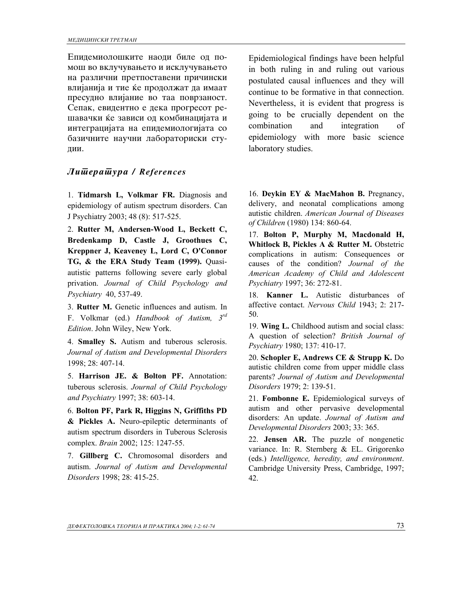Епидемиолошките наоди биле од помош во вклучувањето и исклучувањето на различни претпоставени причински влијанија и тие ќе продолжат да имаат пресудно влијание во таа поврзаност. Сепак, евидентно е дека прогресот решавачки ќе зависи од комбинацијата и интеграцијата на епидемиологијата со базичните научни лабораториски студии.

### *Literatura / References*

1. **Tidmarsh L, Volkmar FR.** Diagnosis and epidemiology of autism spectrum disorders. Can J Psychiatry 2003; 48 (8): 517-525.

2. **Rutter M, Andersen-Wood L, Beckett C, Bredenkamp D, Castle J, Groothues C, Kreppner J, Keaveney L, Lord C, O'Connor TG, & the ERA Study Team (1999).** Quasiautistic patterns following severe early global privation. *Journal of Child Psychology and Psychiatry* 40, 537-49.

3. **Rutter M.** Genetic influences and autism. In F. Volkmar (ed.) *Handbook of Autism, 3rd Edition*. John Wiley, New York.

4. **Smalley S.** Autism and tuberous sclerosis. *Journal of Autism and Developmental Disorders* 1998; 28: 407-14.

5. **Harrison JE. & Bolton PF.** Annotation: tuberous sclerosis. *Journal of Child Psychology and Psychiatry* 1997; 38: 603-14.

6. **Bolton PF, Park R, Higgins N, Griffiths PD & Pickles A.** Neuro-epileptic determinants of autism spectrum disorders in Tuberous Sclerosis complex. *Brain* 2002; 125: 1247-55.

7. **Gillberg C.** Chromosomal disorders and autism. *Journal of Autism and Developmental Disorders* 1998; 28: 415-25.

Epidemiological findings have been helpful in both ruling in and ruling out various postulated causal influences and they will continue to be formative in that connection. Nevertheless, it is evident that progress is going to be crucially dependent on the combination and integration of epidemiology with more basic science laboratory studies.

16. **Deykin EY & MacMahon B.** Pregnancy, delivery, and neonatal complications among autistic children. *American Journal of Diseases of Children* (1980) 134: 860-64.

17. **Bolton P, Murphy M, Macdonald H, Whitlock B, Pickles A & Rutter M.** Obstetric complications in autism: Consequences or causes of the condition? *Journal of the American Academy of Child and Adolescent Psychiatry* 1997; 36: 272-81.

18. **Kanner L.** Autistic disturbances of affective contact. *Nervous Child* 1943; 2: 217- 50.

19. **Wing L.** Childhood autism and social class: A question of selection? *British Journal of Psychiatry* 1980; 137: 410-17.

20. **Schopler E, Andrews CE & Strupp K.** Do autistic children come from upper middle class parents? *Journal of Autism and Developmental Disorders* 1979; 2: 139-51.

21. **Fombonne E.** Epidemiological surveys of autism and other pervasive developmental disorders: An update. *Journal of Autism and Developmental Disorders* 2003; 33: 365.

22. **Jensen AR.** The puzzle of nongenetic variance. In: R. Sternberg & EL. Grigorenko (eds.) *Intelligence, heredity, and environment*. Cambridge University Press, Cambridge, 1997; 42.